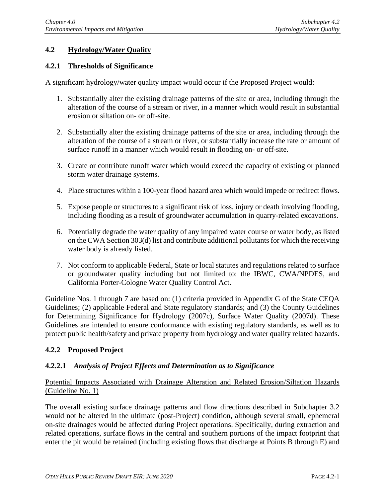# **4.2 Hydrology/Water Quality**

#### **4.2.1 Thresholds of Significance**

A significant hydrology/water quality impact would occur if the Proposed Project would:

- 1. Substantially alter the existing drainage patterns of the site or area, including through the alteration of the course of a stream or river, in a manner which would result in substantial erosion or siltation on- or off-site.
- 2. Substantially alter the existing drainage patterns of the site or area, including through the alteration of the course of a stream or river, or substantially increase the rate or amount of surface runoff in a manner which would result in flooding on- or off-site.
- 3. Create or contribute runoff water which would exceed the capacity of existing or planned storm water drainage systems.
- 4. Place structures within a 100-year flood hazard area which would impede or redirect flows.
- 5. Expose people or structures to a significant risk of loss, injury or death involving flooding, including flooding as a result of groundwater accumulation in quarry-related excavations.
- 6. Potentially degrade the water quality of any impaired water course or water body, as listed on the CWA Section 303(d) list and contribute additional pollutants for which the receiving water body is already listed.
- 7. Not conform to applicable Federal, State or local statutes and regulations related to surface or groundwater quality including but not limited to: the IBWC, CWA/NPDES, and California Porter-Cologne Water Quality Control Act.

Guideline Nos. 1 through 7 are based on: (1) criteria provided in Appendix G of the State CEQA Guidelines; (2) applicable Federal and State regulatory standards; and (3) the County Guidelines for Determining Significance for Hydrology (2007c), Surface Water Quality (2007d). These Guidelines are intended to ensure conformance with existing regulatory standards, as well as to protect public health/safety and private property from hydrology and water quality related hazards.

## **4.2.2 Proposed Project**

#### **4.2.2.1** *Analysis of Project Effects and Determination as to Significance*

#### Potential Impacts Associated with Drainage Alteration and Related Erosion/Siltation Hazards (Guideline No. 1)

The overall existing surface drainage patterns and flow directions described in Subchapter 3.2 would not be altered in the ultimate (post-Project) condition, although several small, ephemeral on-site drainages would be affected during Project operations. Specifically, during extraction and related operations, surface flows in the central and southern portions of the impact footprint that enter the pit would be retained (including existing flows that discharge at Points B through E) and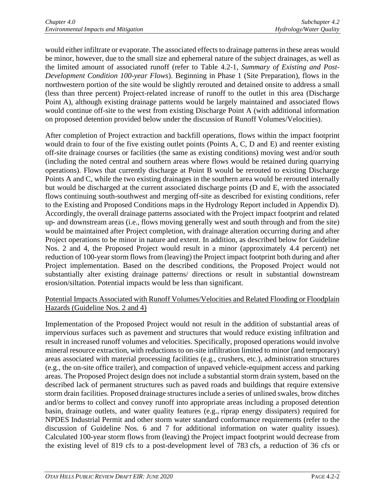would either infiltrate or evaporate. The associated effects to drainage patterns in these areas would be minor, however, due to the small size and ephemeral nature of the subject drainages, as well as the limited amount of associated runoff (refer to Table 4.2-1, *Summary of Existing and Post-Development Condition 100-year Flows*). Beginning in Phase 1 (Site Preparation), flows in the northwestern portion of the site would be slightly rerouted and detained onsite to address a small (less than three percent) Project-related increase of runoff to the outlet in this area (Discharge Point A), although existing drainage patterns would be largely maintained and associated flows would continue off-site to the west from existing Discharge Point A (with additional information on proposed detention provided below under the discussion of Runoff Volumes/Velocities).

After completion of Project extraction and backfill operations, flows within the impact footprint would drain to four of the five existing outlet points (Points A, C, D and E) and reenter existing off-site drainage courses or facilities (the same as existing conditions) moving west and/or south (including the noted central and southern areas where flows would be retained during quarrying operations). Flows that currently discharge at Point B would be rerouted to existing Discharge Points A and C, while the two existing drainages in the southern area would be rerouted internally but would be discharged at the current associated discharge points (D and E, with the associated flows continuing south-southwest and merging off-site as described for existing conditions, refer to the Existing and Proposed Conditions maps in the Hydrology Report included in Appendix D). Accordingly, the overall drainage patterns associated with the Project impact footprint and related up- and downstream areas (i.e., flows moving generally west and south through and from the site) would be maintained after Project completion, with drainage alteration occurring during and after Project operations to be minor in nature and extent. In addition, as described below for Guideline Nos. 2 and 4, the Proposed Project would result in a minor (approximately 4.4 percent) net reduction of 100-year storm flows from (leaving) the Project impact footprint both during and after Project implementation. Based on the described conditions, the Proposed Project would not substantially alter existing drainage patterns/ directions or result in substantial downstream erosion/siltation. Potential impacts would be less than significant.

## Potential Impacts Associated with Runoff Volumes/Velocities and Related Flooding or Floodplain Hazards (Guideline Nos. 2 and 4)

Implementation of the Proposed Project would not result in the addition of substantial areas of impervious surfaces such as pavement and structures that would reduce existing infiltration and result in increased runoff volumes and velocities. Specifically, proposed operations would involve mineral resource extraction, with reductions to on-site infiltration limited to minor (and temporary) areas associated with material processing facilities (e.g., crushers, etc.), administration structures (e.g., the on-site office trailer), and compaction of unpaved vehicle-equipment access and parking areas. The Proposed Project design does not include a substantial storm drain system, based on the described lack of permanent structures such as paved roads and buildings that require extensive storm drain facilities. Proposed drainage structures include a series of unlined swales, brow ditches and/or berms to collect and convey runoff into appropriate areas including a proposed detention basin, drainage outlets, and water quality features (e.g., riprap energy dissipaters) required for NPDES Industrial Permit and other storm water standard conformance requirements (refer to the discussion of Guideline Nos. 6 and 7 for additional information on water quality issues). Calculated 100-year storm flows from (leaving) the Project impact footprint would decrease from the existing level of 819 cfs to a post-development level of 783 cfs, a reduction of 36 cfs or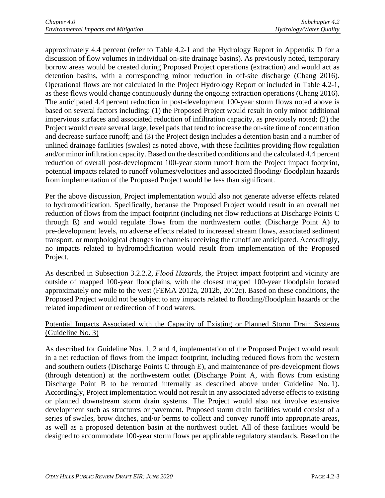approximately 4.4 percent (refer to Table 4.2-1 and the Hydrology Report in Appendix D for a discussion of flow volumes in individual on-site drainage basins). As previously noted, temporary borrow areas would be created during Proposed Project operations (extraction) and would act as detention basins, with a corresponding minor reduction in off-site discharge (Chang 2016). Operational flows are not calculated in the Project Hydrology Report or included in Table 4.2-1, as these flows would change continuously during the ongoing extraction operations (Chang 2016). The anticipated 4.4 percent reduction in post-development 100-year storm flows noted above is based on several factors including: (1) the Proposed Project would result in only minor additional impervious surfaces and associated reduction of infiltration capacity, as previously noted; (2) the Project would create several large, level pads that tend to increase the on-site time of concentration and decrease surface runoff; and (3) the Project design includes a detention basin and a number of unlined drainage facilities (swales) as noted above, with these facilities providing flow regulation and/or minor infiltration capacity. Based on the described conditions and the calculated 4.4 percent reduction of overall post-development 100-year storm runoff from the Project impact footprint, potential impacts related to runoff volumes/velocities and associated flooding/ floodplain hazards from implementation of the Proposed Project would be less than significant.

Per the above discussion, Project implementation would also not generate adverse effects related to hydromodification. Specifically, because the Proposed Project would result in an overall net reduction of flows from the impact footprint (including net flow reductions at Discharge Points C through E) and would regulate flows from the northwestern outlet (Discharge Point A) to pre-development levels, no adverse effects related to increased stream flows, associated sediment transport, or morphological changes in channels receiving the runoff are anticipated. Accordingly, no impacts related to hydromodification would result from implementation of the Proposed Project.

As described in Subsection 3.2.2.2, *Flood Hazards*, the Project impact footprint and vicinity are outside of mapped 100-year floodplains, with the closest mapped 100-year floodplain located approximately one mile to the west (FEMA 2012a, 2012b, 2012c). Based on these conditions, the Proposed Project would not be subject to any impacts related to flooding/floodplain hazards or the related impediment or redirection of flood waters.

## Potential Impacts Associated with the Capacity of Existing or Planned Storm Drain Systems (Guideline No. 3)

As described for Guideline Nos. 1, 2 and 4, implementation of the Proposed Project would result in a net reduction of flows from the impact footprint, including reduced flows from the western and southern outlets (Discharge Points C through E), and maintenance of pre-development flows (through detention) at the northwestern outlet (Discharge Point A, with flows from existing Discharge Point B to be rerouted internally as described above under Guideline No. 1). Accordingly, Project implementation would not result in any associated adverse effects to existing or planned downstream storm drain systems. The Project would also not involve extensive development such as structures or pavement. Proposed storm drain facilities would consist of a series of swales, brow ditches, and/or berms to collect and convey runoff into appropriate areas, as well as a proposed detention basin at the northwest outlet. All of these facilities would be designed to accommodate 100-year storm flows per applicable regulatory standards. Based on the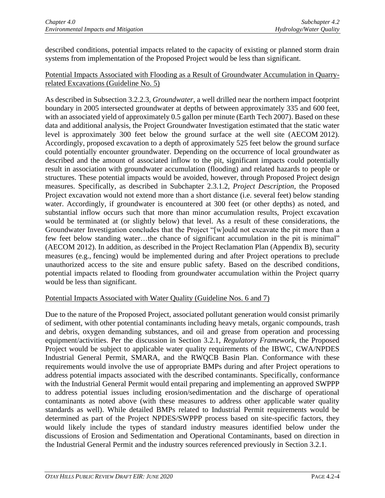described conditions, potential impacts related to the capacity of existing or planned storm drain systems from implementation of the Proposed Project would be less than significant.

## Potential Impacts Associated with Flooding as a Result of Groundwater Accumulation in Quarryrelated Excavations (Guideline No. 5)

As described in Subsection 3.2.2.3, *Groundwater*, a well drilled near the northern impact footprint boundary in 2005 intersected groundwater at depths of between approximately 335 and 600 feet, with an associated yield of approximately 0.5 gallon per minute (Earth Tech 2007). Based on these data and additional analysis, the Project Groundwater Investigation estimated that the static water level is approximately 300 feet below the ground surface at the well site (AECOM 2012). Accordingly, proposed excavation to a depth of approximately 525 feet below the ground surface could potentially encounter groundwater. Depending on the occurrence of local groundwater as described and the amount of associated inflow to the pit, significant impacts could potentially result in association with groundwater accumulation (flooding) and related hazards to people or structures. These potential impacts would be avoided, however, through Proposed Project design measures. Specifically, as described in Subchapter 2.3.1.2, *Project Description*, the Proposed Project excavation would not extend more than a short distance (i.e. several feet) below standing water. Accordingly, if groundwater is encountered at 300 feet (or other depths) as noted, and substantial inflow occurs such that more than minor accumulation results, Project excavation would be terminated at (or slightly below) that level. As a result of these considerations, the Groundwater Investigation concludes that the Project "[w]ould not excavate the pit more than a few feet below standing water…the chance of significant accumulation in the pit is minimal" (AECOM 2012). In addition, as described in the Project Reclamation Plan (Appendix B), security measures (e.g., fencing) would be implemented during and after Project operations to preclude unauthorized access to the site and ensure public safety. Based on the described conditions, potential impacts related to flooding from groundwater accumulation within the Project quarry would be less than significant.

## Potential Impacts Associated with Water Quality (Guideline Nos. 6 and 7)

Due to the nature of the Proposed Project, associated pollutant generation would consist primarily of sediment, with other potential contaminants including heavy metals, organic compounds, trash and debris, oxygen demanding substances, and oil and grease from operation and processing equipment/activities. Per the discussion in Section 3.2.1, *Regulatory Framework*, the Proposed Project would be subject to applicable water quality requirements of the IBWC, CWA/NPDES Industrial General Permit, SMARA, and the RWQCB Basin Plan. Conformance with these requirements would involve the use of appropriate BMPs during and after Project operations to address potential impacts associated with the described contaminants. Specifically, conformance with the Industrial General Permit would entail preparing and implementing an approved SWPPP to address potential issues including erosion/sedimentation and the discharge of operational contaminants as noted above (with these measures to address other applicable water quality standards as well). While detailed BMPs related to Industrial Permit requirements would be determined as part of the Project NPDES/SWPPP process based on site-specific factors, they would likely include the types of standard industry measures identified below under the discussions of Erosion and Sedimentation and Operational Contaminants, based on direction in the Industrial General Permit and the industry sources referenced previously in Section 3.2.1.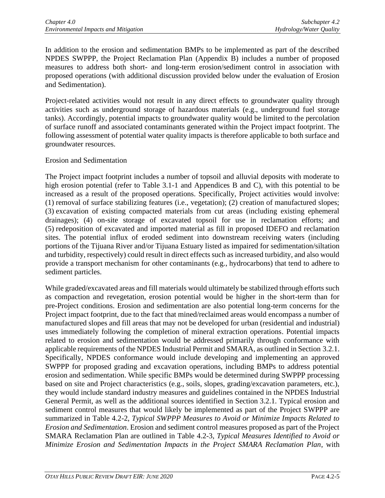In addition to the erosion and sedimentation BMPs to be implemented as part of the described NPDES SWPPP, the Project Reclamation Plan (Appendix B) includes a number of proposed measures to address both short- and long-term erosion/sediment control in association with proposed operations (with additional discussion provided below under the evaluation of Erosion and Sedimentation).

Project-related activities would not result in any direct effects to groundwater quality through activities such as underground storage of hazardous materials (e.g., underground fuel storage tanks). Accordingly, potential impacts to groundwater quality would be limited to the percolation of surface runoff and associated contaminants generated within the Project impact footprint. The following assessment of potential water quality impacts is therefore applicable to both surface and groundwater resources.

#### Erosion and Sedimentation

The Project impact footprint includes a number of topsoil and alluvial deposits with moderate to high erosion potential (refer to Table 3.1-1 and Appendices B and C), with this potential to be increased as a result of the proposed operations. Specifically, Project activities would involve: (1) removal of surface stabilizing features (i.e., vegetation); (2) creation of manufactured slopes; (3) excavation of existing compacted materials from cut areas (including existing ephemeral drainages); (4) on-site storage of excavated topsoil for use in reclamation efforts; and (5) redeposition of excavated and imported material as fill in proposed IDEFO and reclamation sites. The potential influx of eroded sediment into downstream receiving waters (including portions of the Tijuana River and/or Tijuana Estuary listed as impaired for sedimentation/siltation and turbidity, respectively) could result in direct effects such as increased turbidity, and also would provide a transport mechanism for other contaminants (e.g., hydrocarbons) that tend to adhere to sediment particles.

While graded/excavated areas and fill materials would ultimately be stabilized through efforts such as compaction and revegetation, erosion potential would be higher in the short-term than for pre-Project conditions. Erosion and sedimentation are also potential long-term concerns for the Project impact footprint, due to the fact that mined/reclaimed areas would encompass a number of manufactured slopes and fill areas that may not be developed for urban (residential and industrial) uses immediately following the completion of mineral extraction operations. Potential impacts related to erosion and sedimentation would be addressed primarily through conformance with applicable requirements of the NPDES Industrial Permit and SMARA, as outlined in Section 3.2.1. Specifically, NPDES conformance would include developing and implementing an approved SWPPP for proposed grading and excavation operations, including BMPs to address potential erosion and sedimentation. While specific BMPs would be determined during SWPPP processing based on site and Project characteristics (e.g., soils, slopes, grading/excavation parameters, etc.), they would include standard industry measures and guidelines contained in the NPDES Industrial General Permit, as well as the additional sources identified in Section 3.2.1. Typical erosion and sediment control measures that would likely be implemented as part of the Project SWPPP are summarized in Table 4.2-2, *Typical SWPPP Measures to Avoid or Minimize Impacts Related to Erosion and Sedimentation*. Erosion and sediment control measures proposed as part of the Project SMARA Reclamation Plan are outlined in Table 4.2-3, *Typical Measures Identified to Avoid or Minimize Erosion and Sedimentation Impacts in the Project SMARA Reclamation Plan*, with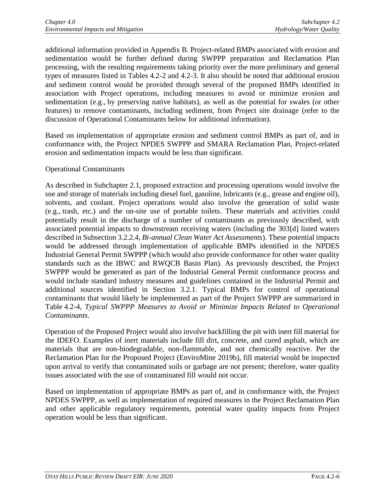additional information provided in Appendix B. Project-related BMPs associated with erosion and sedimentation would be further defined during SWPPP preparation and Reclamation Plan processing, with the resulting requirements taking priority over the more preliminary and general types of measures listed in Tables 4.2-2 and 4.2-3. It also should be noted that additional erosion and sediment control would be provided through several of the proposed BMPs identified in association with Project operations, including measures to avoid or minimize erosion and sedimentation (e.g., by preserving native habitats), as well as the potential for swales (or other features) to remove contaminants, including sediment, from Project site drainage (refer to the discussion of Operational Contaminants below for additional information).

Based on implementation of appropriate erosion and sediment control BMPs as part of, and in conformance with, the Project NPDES SWPPP and SMARA Reclamation Plan, Project-related erosion and sedimentation impacts would be less than significant.

#### Operational Contaminants

As described in Subchapter 2.1, proposed extraction and processing operations would involve the use and storage of materials including diesel fuel, gasoline, lubricants (e.g., grease and engine oil), solvents, and coolant. Project operations would also involve the generation of solid waste (e.g., trash, etc.) and the on-site use of portable toilets. These materials and activities could potentially result in the discharge of a number of contaminants as previously described, with associated potential impacts to downstream receiving waters (including the 303[d] listed waters described in Subsection 3.2.2.4, *Bi-annual Clean Water Act Assessments*). These potential impacts would be addressed through implementation of applicable BMPs identified in the NPDES Industrial General Permit SWPPP (which would also provide conformance for other water quality standards such as the IBWC and RWQCB Basin Plan). As previously described, the Project SWPPP would be generated as part of the Industrial General Permit conformance process and would include standard industry measures and guidelines contained in the Industrial Permit and additional sources identified in Section 3.2.1. Typical BMPs for control of operational contaminants that would likely be implemented as part of the Project SWPPP are summarized in Table 4.2-4, *Typical SWPPP Measures to Avoid or Minimize Impacts Related to Operational Contaminants*.

Operation of the Proposed Project would also involve backfilling the pit with inert fill material for the IDEFO. Examples of inert materials include fill dirt, concrete, and cured asphalt, which are materials that are non-biodegradable, non-flammable, and not chemically reactive. Per the Reclamation Plan for the Proposed Project (EnviroMine 2019b), fill material would be inspected upon arrival to verify that contaminated soils or garbage are not present; therefore, water quality issues associated with the use of contaminated fill would not occur.

Based on implementation of appropriate BMPs as part of, and in conformance with, the Project NPDES SWPPP, as well as implementation of required measures in the Project Reclamation Plan and other applicable regulatory requirements, potential water quality impacts from Project operation would be less than significant.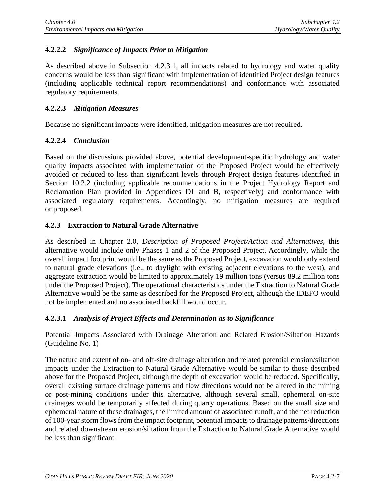## **4.2.2.2** *Significance of Impacts Prior to Mitigation*

As described above in Subsection 4.2.3.1, all impacts related to hydrology and water quality concerns would be less than significant with implementation of identified Project design features (including applicable technical report recommendations) and conformance with associated regulatory requirements.

#### **4.2.2.3** *Mitigation Measures*

Because no significant impacts were identified, mitigation measures are not required.

## **4.2.2.4** *Conclusion*

Based on the discussions provided above, potential development-specific hydrology and water quality impacts associated with implementation of the Proposed Project would be effectively avoided or reduced to less than significant levels through Project design features identified in Section 10.2.2 (including applicable recommendations in the Project Hydrology Report and Reclamation Plan provided in Appendices D1 and B, respectively) and conformance with associated regulatory requirements. Accordingly, no mitigation measures are required or proposed.

## **4.2.3 Extraction to Natural Grade Alternative**

As described in Chapter 2.0, *Description of Proposed Project/Action and Alternatives*, this alternative would include only Phases 1 and 2 of the Proposed Project. Accordingly, while the overall impact footprint would be the same as the Proposed Project, excavation would only extend to natural grade elevations (i.e., to daylight with existing adjacent elevations to the west), and aggregate extraction would be limited to approximately 19 million tons (versus 89.2 million tons under the Proposed Project). The operational characteristics under the Extraction to Natural Grade Alternative would be the same as described for the Proposed Project, although the IDEFO would not be implemented and no associated backfill would occur.

## **4.2.3.1** *Analysis of Project Effects and Determination as to Significance*

#### Potential Impacts Associated with Drainage Alteration and Related Erosion/Siltation Hazards (Guideline No. 1)

The nature and extent of on- and off-site drainage alteration and related potential erosion/siltation impacts under the Extraction to Natural Grade Alternative would be similar to those described above for the Proposed Project, although the depth of excavation would be reduced. Specifically, overall existing surface drainage patterns and flow directions would not be altered in the mining or post-mining conditions under this alternative, although several small, ephemeral on-site drainages would be temporarily affected during quarry operations. Based on the small size and ephemeral nature of these drainages, the limited amount of associated runoff, and the net reduction of 100-year storm flows from the impact footprint, potential impacts to drainage patterns/directions and related downstream erosion/siltation from the Extraction to Natural Grade Alternative would be less than significant.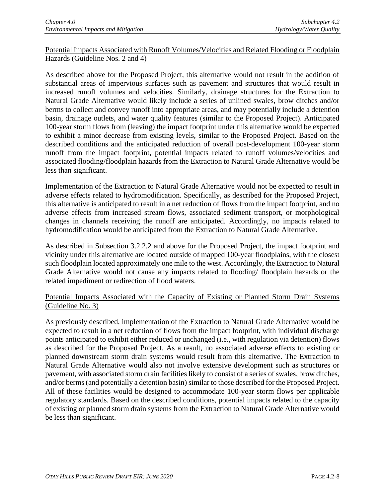## Potential Impacts Associated with Runoff Volumes/Velocities and Related Flooding or Floodplain Hazards (Guideline Nos. 2 and 4)

As described above for the Proposed Project, this alternative would not result in the addition of substantial areas of impervious surfaces such as pavement and structures that would result in increased runoff volumes and velocities. Similarly, drainage structures for the Extraction to Natural Grade Alternative would likely include a series of unlined swales, brow ditches and/or berms to collect and convey runoff into appropriate areas, and may potentially include a detention basin, drainage outlets, and water quality features (similar to the Proposed Project). Anticipated 100-year storm flows from (leaving) the impact footprint under this alternative would be expected to exhibit a minor decrease from existing levels, similar to the Proposed Project. Based on the described conditions and the anticipated reduction of overall post-development 100-year storm runoff from the impact footprint, potential impacts related to runoff volumes/velocities and associated flooding/floodplain hazards from the Extraction to Natural Grade Alternative would be less than significant.

Implementation of the Extraction to Natural Grade Alternative would not be expected to result in adverse effects related to hydromodification. Specifically, as described for the Proposed Project, this alternative is anticipated to result in a net reduction of flows from the impact footprint, and no adverse effects from increased stream flows, associated sediment transport, or morphological changes in channels receiving the runoff are anticipated. Accordingly, no impacts related to hydromodification would be anticipated from the Extraction to Natural Grade Alternative.

As described in Subsection 3.2.2.2 and above for the Proposed Project, the impact footprint and vicinity under this alternative are located outside of mapped 100-year floodplains, with the closest such floodplain located approximately one mile to the west. Accordingly, the Extraction to Natural Grade Alternative would not cause any impacts related to flooding/ floodplain hazards or the related impediment or redirection of flood waters.

## Potential Impacts Associated with the Capacity of Existing or Planned Storm Drain Systems (Guideline No. 3)

As previously described, implementation of the Extraction to Natural Grade Alternative would be expected to result in a net reduction of flows from the impact footprint, with individual discharge points anticipated to exhibit either reduced or unchanged (i.e., with regulation via detention) flows as described for the Proposed Project. As a result, no associated adverse effects to existing or planned downstream storm drain systems would result from this alternative. The Extraction to Natural Grade Alternative would also not involve extensive development such as structures or pavement, with associated storm drain facilities likely to consist of a series of swales, brow ditches, and/or berms (and potentially a detention basin) similar to those described for the Proposed Project. All of these facilities would be designed to accommodate 100-year storm flows per applicable regulatory standards. Based on the described conditions, potential impacts related to the capacity of existing or planned storm drain systems from the Extraction to Natural Grade Alternative would be less than significant.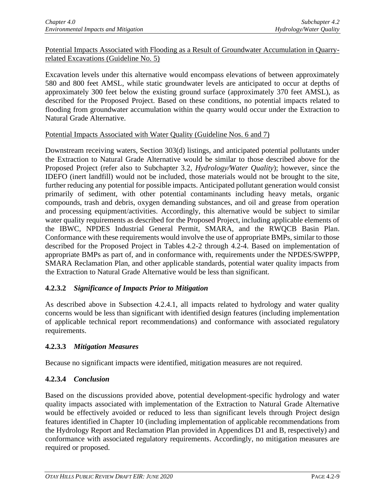Potential Impacts Associated with Flooding as a Result of Groundwater Accumulation in Quarryrelated Excavations (Guideline No. 5)

Excavation levels under this alternative would encompass elevations of between approximately 580 and 800 feet AMSL, while static groundwater levels are anticipated to occur at depths of approximately 300 feet below the existing ground surface (approximately 370 feet AMSL), as described for the Proposed Project. Based on these conditions, no potential impacts related to flooding from groundwater accumulation within the quarry would occur under the Extraction to Natural Grade Alternative.

## Potential Impacts Associated with Water Quality (Guideline Nos. 6 and 7)

Downstream receiving waters, Section 303(d) listings, and anticipated potential pollutants under the Extraction to Natural Grade Alternative would be similar to those described above for the Proposed Project (refer also to Subchapter 3.2, *Hydrology/Water Quality*); however, since the IDEFO (inert landfill) would not be included, those materials would not be brought to the site, further reducing any potential for possible impacts. Anticipated pollutant generation would consist primarily of sediment, with other potential contaminants including heavy metals, organic compounds, trash and debris, oxygen demanding substances, and oil and grease from operation and processing equipment/activities. Accordingly, this alternative would be subject to similar water quality requirements as described for the Proposed Project, including applicable elements of the IBWC, NPDES Industrial General Permit, SMARA, and the RWQCB Basin Plan. Conformance with these requirements would involve the use of appropriate BMPs, similar to those described for the Proposed Project in Tables 4.2-2 through 4.2-4. Based on implementation of appropriate BMPs as part of, and in conformance with, requirements under the NPDES/SWPPP, SMARA Reclamation Plan, and other applicable standards, potential water quality impacts from the Extraction to Natural Grade Alternative would be less than significant.

## **4.2.3.2** *Significance of Impacts Prior to Mitigation*

As described above in Subsection 4.2.4.1, all impacts related to hydrology and water quality concerns would be less than significant with identified design features (including implementation of applicable technical report recommendations) and conformance with associated regulatory requirements.

## **4.2.3.3** *Mitigation Measures*

Because no significant impacts were identified, mitigation measures are not required.

# **4.2.3.4** *Conclusion*

Based on the discussions provided above, potential development-specific hydrology and water quality impacts associated with implementation of the Extraction to Natural Grade Alternative would be effectively avoided or reduced to less than significant levels through Project design features identified in Chapter 10 (including implementation of applicable recommendations from the Hydrology Report and Reclamation Plan provided in Appendices D1 and B, respectively) and conformance with associated regulatory requirements. Accordingly, no mitigation measures are required or proposed.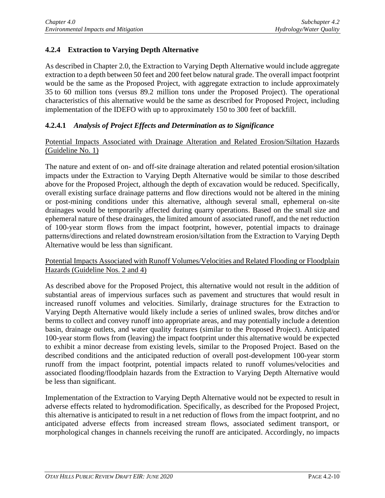# **4.2.4 Extraction to Varying Depth Alternative**

As described in Chapter 2.0, the Extraction to Varying Depth Alternative would include aggregate extraction to a depth between 50 feet and 200 feet below natural grade. The overall impact footprint would be the same as the Proposed Project, with aggregate extraction to include approximately 35 to 60 million tons (versus 89.2 million tons under the Proposed Project). The operational characteristics of this alternative would be the same as described for Proposed Project, including implementation of the IDEFO with up to approximately 150 to 300 feet of backfill.

## **4.2.4.1** *Analysis of Project Effects and Determination as to Significance*

#### Potential Impacts Associated with Drainage Alteration and Related Erosion/Siltation Hazards (Guideline No. 1)

The nature and extent of on- and off-site drainage alteration and related potential erosion/siltation impacts under the Extraction to Varying Depth Alternative would be similar to those described above for the Proposed Project, although the depth of excavation would be reduced. Specifically, overall existing surface drainage patterns and flow directions would not be altered in the mining or post-mining conditions under this alternative, although several small, ephemeral on-site drainages would be temporarily affected during quarry operations. Based on the small size and ephemeral nature of these drainages, the limited amount of associated runoff, and the net reduction of 100-year storm flows from the impact footprint, however, potential impacts to drainage patterns/directions and related downstream erosion/siltation from the Extraction to Varying Depth Alternative would be less than significant.

#### Potential Impacts Associated with Runoff Volumes/Velocities and Related Flooding or Floodplain Hazards (Guideline Nos. 2 and 4)

As described above for the Proposed Project, this alternative would not result in the addition of substantial areas of impervious surfaces such as pavement and structures that would result in increased runoff volumes and velocities. Similarly, drainage structures for the Extraction to Varying Depth Alternative would likely include a series of unlined swales, brow ditches and/or berms to collect and convey runoff into appropriate areas, and may potentially include a detention basin, drainage outlets, and water quality features (similar to the Proposed Project). Anticipated 100-year storm flows from (leaving) the impact footprint under this alternative would be expected to exhibit a minor decrease from existing levels, similar to the Proposed Project. Based on the described conditions and the anticipated reduction of overall post-development 100-year storm runoff from the impact footprint, potential impacts related to runoff volumes/velocities and associated flooding/floodplain hazards from the Extraction to Varying Depth Alternative would be less than significant.

Implementation of the Extraction to Varying Depth Alternative would not be expected to result in adverse effects related to hydromodification. Specifically, as described for the Proposed Project, this alternative is anticipated to result in a net reduction of flows from the impact footprint, and no anticipated adverse effects from increased stream flows, associated sediment transport, or morphological changes in channels receiving the runoff are anticipated. Accordingly, no impacts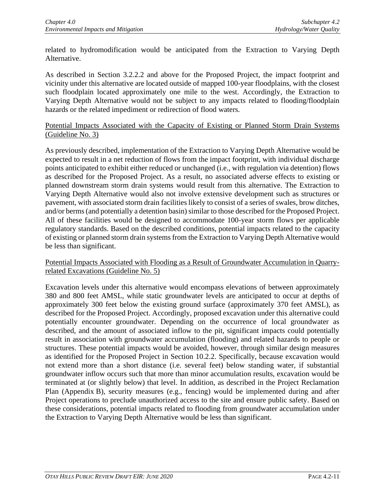related to hydromodification would be anticipated from the Extraction to Varying Depth Alternative.

As described in Section 3.2.2.2 and above for the Proposed Project, the impact footprint and vicinity under this alternative are located outside of mapped 100-year floodplains, with the closest such floodplain located approximately one mile to the west. Accordingly, the Extraction to Varying Depth Alternative would not be subject to any impacts related to flooding/floodplain hazards or the related impediment or redirection of flood waters.

## Potential Impacts Associated with the Capacity of Existing or Planned Storm Drain Systems (Guideline No. 3)

As previously described, implementation of the Extraction to Varying Depth Alternative would be expected to result in a net reduction of flows from the impact footprint, with individual discharge points anticipated to exhibit either reduced or unchanged (i.e., with regulation via detention) flows as described for the Proposed Project. As a result, no associated adverse effects to existing or planned downstream storm drain systems would result from this alternative. The Extraction to Varying Depth Alternative would also not involve extensive development such as structures or pavement, with associated storm drain facilities likely to consist of a series of swales, brow ditches, and/or berms (and potentially a detention basin) similar to those described for the Proposed Project. All of these facilities would be designed to accommodate 100-year storm flows per applicable regulatory standards. Based on the described conditions, potential impacts related to the capacity of existing or planned storm drain systems from the Extraction to Varying Depth Alternative would be less than significant.

#### Potential Impacts Associated with Flooding as a Result of Groundwater Accumulation in Quarryrelated Excavations (Guideline No. 5)

Excavation levels under this alternative would encompass elevations of between approximately 380 and 800 feet AMSL, while static groundwater levels are anticipated to occur at depths of approximately 300 feet below the existing ground surface (approximately 370 feet AMSL), as described for the Proposed Project. Accordingly, proposed excavation under this alternative could potentially encounter groundwater. Depending on the occurrence of local groundwater as described, and the amount of associated inflow to the pit, significant impacts could potentially result in association with groundwater accumulation (flooding) and related hazards to people or structures. These potential impacts would be avoided, however, through similar design measures as identified for the Proposed Project in Section 10.2.2. Specifically, because excavation would not extend more than a short distance (i.e. several feet) below standing water, if substantial groundwater inflow occurs such that more than minor accumulation results, excavation would be terminated at (or slightly below) that level. In addition, as described in the Project Reclamation Plan (Appendix B), security measures (e.g., fencing) would be implemented during and after Project operations to preclude unauthorized access to the site and ensure public safety. Based on these considerations, potential impacts related to flooding from groundwater accumulation under the Extraction to Varying Depth Alternative would be less than significant.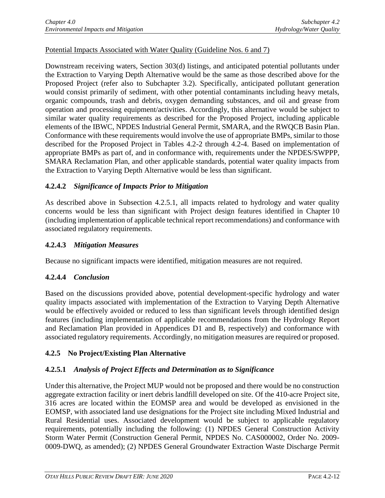## Potential Impacts Associated with Water Quality (Guideline Nos. 6 and 7)

Downstream receiving waters, Section 303(d) listings, and anticipated potential pollutants under the Extraction to Varying Depth Alternative would be the same as those described above for the Proposed Project (refer also to Subchapter 3.2). Specifically, anticipated pollutant generation would consist primarily of sediment, with other potential contaminants including heavy metals, organic compounds, trash and debris, oxygen demanding substances, and oil and grease from operation and processing equipment/activities. Accordingly, this alternative would be subject to similar water quality requirements as described for the Proposed Project, including applicable elements of the IBWC, NPDES Industrial General Permit, SMARA, and the RWQCB Basin Plan. Conformance with these requirements would involve the use of appropriate BMPs, similar to those described for the Proposed Project in Tables 4.2-2 through 4.2-4. Based on implementation of appropriate BMPs as part of, and in conformance with, requirements under the NPDES/SWPPP, SMARA Reclamation Plan, and other applicable standards, potential water quality impacts from the Extraction to Varying Depth Alternative would be less than significant.

## **4.2.4.2** *Significance of Impacts Prior to Mitigation*

As described above in Subsection 4.2.5.1, all impacts related to hydrology and water quality concerns would be less than significant with Project design features identified in Chapter 10 (including implementation of applicable technical report recommendations) and conformance with associated regulatory requirements.

## **4.2.4.3** *Mitigation Measures*

Because no significant impacts were identified, mitigation measures are not required.

# **4.2.4.4** *Conclusion*

Based on the discussions provided above, potential development-specific hydrology and water quality impacts associated with implementation of the Extraction to Varying Depth Alternative would be effectively avoided or reduced to less than significant levels through identified design features (including implementation of applicable recommendations from the Hydrology Report and Reclamation Plan provided in Appendices D1 and B, respectively) and conformance with associated regulatory requirements. Accordingly, no mitigation measures are required or proposed.

# **4.2.5 No Project/Existing Plan Alternative**

# **4.2.5.1** *Analysis of Project Effects and Determination as to Significance*

Under this alternative, the Project MUP would not be proposed and there would be no construction aggregate extraction facility or inert debris landfill developed on site. Of the 410-acre Project site, 316 acres are located within the EOMSP area and would be developed as envisioned in the EOMSP, with associated land use designations for the Project site including Mixed Industrial and Rural Residential uses. Associated development would be subject to applicable regulatory requirements, potentially including the following: (1) NPDES General Construction Activity Storm Water Permit (Construction General Permit, NPDES No. CAS000002, Order No. 2009- 0009-DWQ, as amended); (2) NPDES General Groundwater Extraction Waste Discharge Permit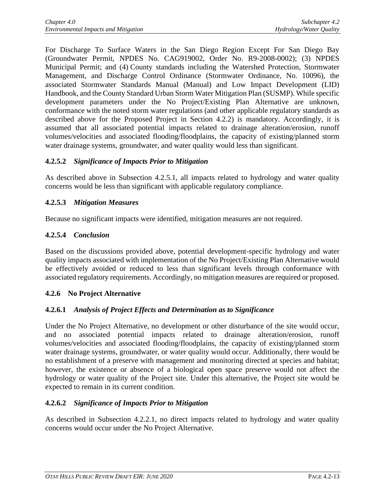For Discharge To Surface Waters in the San Diego Region Except For San Diego Bay (Groundwater Permit, NPDES No. CAG919002, Order No. R9-2008-0002); (3) NPDES Municipal Permit; and (4) County standards including the Watershed Protection, Stormwater Management, and Discharge Control Ordinance (Stormwater Ordinance, No. 10096), the associated Stormwater Standards Manual (Manual) and Low Impact Development (LID) Handbook, and the County Standard Urban Storm Water Mitigation Plan (SUSMP). While specific development parameters under the No Project/Existing Plan Alternative are unknown, conformance with the noted storm water regulations (and other applicable regulatory standards as described above for the Proposed Project in Section 4.2.2) is mandatory. Accordingly, it is assumed that all associated potential impacts related to drainage alteration/erosion, runoff volumes/velocities and associated flooding/floodplains, the capacity of existing/planned storm water drainage systems, groundwater, and water quality would less than significant.

## **4.2.5.2** *Significance of Impacts Prior to Mitigation*

As described above in Subsection 4.2.5.1, all impacts related to hydrology and water quality concerns would be less than significant with applicable regulatory compliance.

# **4.2.5.3** *Mitigation Measures*

Because no significant impacts were identified, mitigation measures are not required.

# **4.2.5.4** *Conclusion*

Based on the discussions provided above, potential development-specific hydrology and water quality impacts associated with implementation of the No Project/Existing Plan Alternative would be effectively avoided or reduced to less than significant levels through conformance with associated regulatory requirements. Accordingly, no mitigation measures are required or proposed.

## **4.2.6 No Project Alternative**

## **4.2.6.1** *Analysis of Project Effects and Determination as to Significance*

Under the No Project Alternative, no development or other disturbance of the site would occur, and no associated potential impacts related to drainage alteration/erosion, runoff volumes/velocities and associated flooding/floodplains, the capacity of existing/planned storm water drainage systems, groundwater, or water quality would occur. Additionally, there would be no establishment of a preserve with management and monitoring directed at species and habitat; however, the existence or absence of a biological open space preserve would not affect the hydrology or water quality of the Project site. Under this alternative, the Project site would be expected to remain in its current condition.

## **4.2.6.2** *Significance of Impacts Prior to Mitigation*

As described in Subsection 4.2.2.1, no direct impacts related to hydrology and water quality concerns would occur under the No Project Alternative.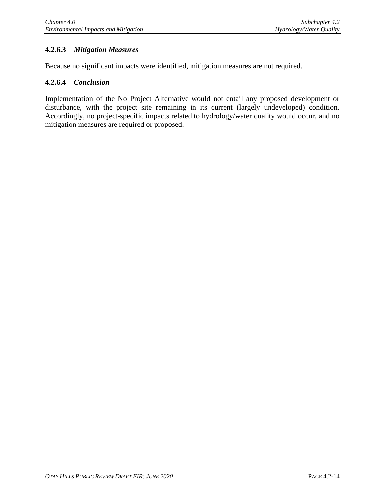# **4.2.6.3** *Mitigation Measures*

Because no significant impacts were identified, mitigation measures are not required.

#### **4.2.6.4** *Conclusion*

Implementation of the No Project Alternative would not entail any proposed development or disturbance, with the project site remaining in its current (largely undeveloped) condition. Accordingly, no project-specific impacts related to hydrology/water quality would occur, and no mitigation measures are required or proposed.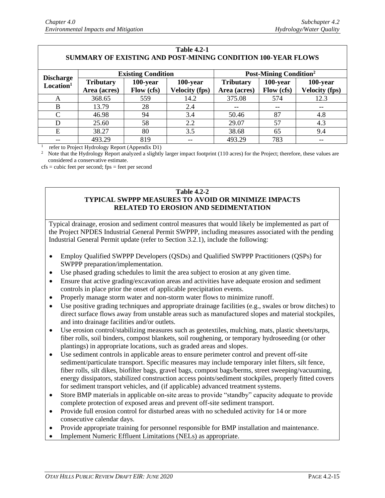| 1 adie 4.2-1<br><b>SUMMARY OF EXISTING AND POST-MINING CONDITION 100-YEAR FLOWS</b> |                           |            |                       |                                          |            |                       |
|-------------------------------------------------------------------------------------|---------------------------|------------|-----------------------|------------------------------------------|------------|-----------------------|
| <b>Discharge</b><br>Location <sup>1</sup>                                           | <b>Existing Condition</b> |            |                       | <b>Post-Mining Condition<sup>2</sup></b> |            |                       |
|                                                                                     | <b>Tributary</b>          | 100-year   | 100-year              | <b>Tributary</b>                         | 100-year   | 100-year              |
|                                                                                     | Area (acres)              | Flow (cfs) | <b>Velocity (fps)</b> | Area (acres)                             | Flow (cfs) | <b>Velocity</b> (fps) |
| A                                                                                   | 368.65                    | 559        | 14.2                  | 375.08                                   | 574        | 12.3                  |
| B                                                                                   | 13.79                     | 28         | 2.4                   |                                          |            | $\qquad \qquad -$     |
| C                                                                                   | 46.98                     | 94         | 3.4                   | 50.46                                    | 87         | 4.8                   |
| D                                                                                   | 25.60                     | 58         | 2.2                   | 29.07                                    | 57         | 4.3                   |
| E                                                                                   | 38.27                     | 80         | 3.5                   | 38.68                                    | 65         | 9.4                   |
|                                                                                     | 493.29                    | 819        |                       | 493.29                                   | 783        | $-$                   |

**Table 4.2-1**

<sup>1</sup> refer to Project Hydrology Report (Appendix D1)

 $2$  Note that the Hydrology Report analyzed a slightly larger impact footprint (110 acres) for the Project; therefore, these values are considered a conservative estimate.

 $cfs = cubic \tfeet per second; fps = feet per second$ 

#### **Table 4.2-2 TYPICAL SWPPP MEASURES TO AVOID OR MINIMIZE IMPACTS RELATED TO EROSION AND SEDIMENTATION**

Typical drainage, erosion and sediment control measures that would likely be implemented as part of the Project NPDES Industrial General Permit SWPPP, including measures associated with the pending Industrial General Permit update (refer to Section 3.2.1), include the following:

- Employ Qualified SWPPP Developers (QSDs) and Qualified SWPPP Practitioners (QSPs) for SWPPP preparation/implementation.
- Use phased grading schedules to limit the area subject to erosion at any given time.
- Ensure that active grading/excavation areas and activities have adequate erosion and sediment controls in place prior the onset of applicable precipitation events.
- Properly manage storm water and non-storm water flows to minimize runoff.
- Use positive grading techniques and appropriate drainage facilities (e.g., swales or brow ditches) to direct surface flows away from unstable areas such as manufactured slopes and material stockpiles, and into drainage facilities and/or outlets.
- Use erosion control/stabilizing measures such as geotextiles, mulching, mats, plastic sheets/tarps, fiber rolls, soil binders, compost blankets, soil roughening, or temporary hydroseeding (or other plantings) in appropriate locations, such as graded areas and slopes.
- Use sediment controls in applicable areas to ensure perimeter control and prevent off-site sediment/particulate transport. Specific measures may include temporary inlet filters, silt fence, fiber rolls, silt dikes, biofilter bags, gravel bags, compost bags/berms, street sweeping/vacuuming, energy dissipators, stabilized construction access points/sediment stockpiles, properly fitted covers for sediment transport vehicles, and (if applicable) advanced treatment systems.
- Store BMP materials in applicable on-site areas to provide "standby" capacity adequate to provide complete protection of exposed areas and prevent off-site sediment transport.
- Provide full erosion control for disturbed areas with no scheduled activity for 14 or more consecutive calendar days.
- Provide appropriate training for personnel responsible for BMP installation and maintenance.
- Implement Numeric Effluent Limitations (NELs) as appropriate.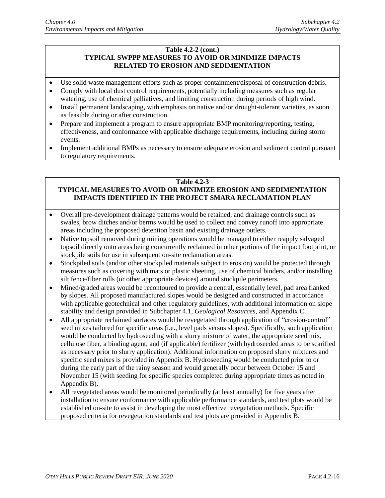#### **Table 4.2-2 (cont.) TYPICAL SWPPP MEASURES TO AVOID OR MINIMIZE IMPACTS RELATED TO EROSION AND SEDIMENTATION**

- Use solid waste management efforts such as proper containment/disposal of construction debris.
- Comply with local dust control requirements, potentially including measures such as regular watering, use of chemical palliatives, and limiting construction during periods of high wind.
- Install permanent landscaping, with emphasis on native and/or drought-tolerant varieties, as soon as feasible during or after construction.
- Prepare and implement a program to ensure appropriate BMP monitoring/reporting, testing, effectiveness, and conformance with applicable discharge requirements, including during storm events.
- Implement additional BMPs as necessary to ensure adequate erosion and sediment control pursuant to regulatory requirements.

#### **Table 4.2-3**

## **TYPICAL MEASURES TO AVOID OR MINIMIZE EROSION AND SEDIMENTATION IMPACTS IDENTIFIED IN THE PROJECT SMARA RECLAMATION PLAN**

- Overall pre-development drainage patterns would be retained, and drainage controls such as swales, brow ditches and/or berms would be used to collect and convey runoff into appropriate areas including the proposed detention basin and existing drainage outlets.
- Native topsoil removed during mining operations would be managed to either reapply salvaged topsoil directly onto areas being concurrently reclaimed in other portions of the impact footprint, or stockpile soils for use in subsequent on-site reclamation areas.
- Stockpiled soils (and/or other stockpiled materials subject to erosion) would be protected through measures such as covering with mats or plastic sheeting, use of chemical binders, and/or installing silt fence/fiber rolls (or other appropriate devices) around stockpile perimeters.
- Mined/graded areas would be recontoured to provide a central, essentially level, pad area flanked by slopes. All proposed manufactured slopes would be designed and constructed in accordance with applicable geotechnical and other regulatory guidelines, with additional information on slope stability and design provided in Subchapter 4.1, *Geological Resources*, and Appendix C.
- All appropriate reclaimed surfaces would be revegetated through application of "erosion-control" seed mixes tailored for specific areas (i.e., level pads versus slopes). Specifically, such application would be conducted by hydroseeding with a slurry mixture of water, the appropriate seed mix, cellulose fiber, a binding agent, and (if applicable) fertilizer (with hydroseeded areas to be scarified as necessary prior to slurry application). Additional information on proposed slurry mixtures and specific seed mixes is provided in Appendix B. Hydroseeding would be conducted prior to or during the early part of the rainy season and would generally occur between October 15 and November 15 (with seeding for specific species completed during appropriate times as noted in Appendix B).
- All revegetated areas would be monitored periodically (at least annually) for five years after installation to ensure conformance with applicable performance standards, and test plots would be established on-site to assist in developing the most effective revegetation methods. Specific proposed criteria for revegetation standards and test plots are provided in Appendix B.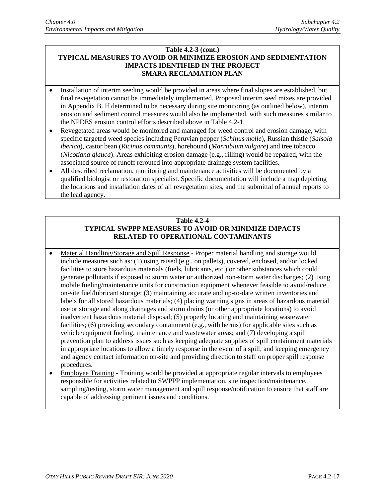#### **Table 4.2-3 (cont.) TYPICAL MEASURES TO AVOID OR MINIMIZE EROSION AND SEDIMENTATION IMPACTS IDENTIFIED IN THE PROJECT SMARA RECLAMATION PLAN**

- Installation of interim seeding would be provided in areas where final slopes are established, but final revegetation cannot be immediately implemented. Proposed interim seed mixes are provided in Appendix B. If determined to be necessary during site monitoring (as outlined below), interim erosion and sediment control measures would also be implemented, with such measures similar to the NPDES erosion control efforts described above in Table 4.2-1.
- Revegetated areas would be monitored and managed for weed control and erosion damage, with specific targeted weed species including Peruvian pepper (*Schinus molle*), Russian thistle (*Salsola iberica*), castor bean (*Ricinus communis*), horehound (*Marrubium vulgare*) and tree tobacco (*Nicotiana glauca*). Areas exhibiting erosion damage (e.g., rilling) would be repaired, with the associated source of runoff rerouted into appropriate drainage system facilities.
- All described reclamation, monitoring and maintenance activities will be documented by a qualified biologist or restoration specialist. Specific documentation will include a map depicting the locations and installation dates of all revegetation sites, and the submittal of annual reports to the lead agency.

#### **Table 4.2-4 TYPICAL SWPPP MEASURES TO AVOID OR MINIMIZE IMPACTS RELATED TO OPERATIONAL CONTAMINANTS**

- Material Handling/Storage and Spill Response Proper material handling and storage would include measures such as: (1) using raised (e.g., on pallets), covered, enclosed, and/or locked facilities to store hazardous materials (fuels, lubricants, etc.) or other substances which could generate pollutants if exposed to storm water or authorized non-storm water discharges; (2) using mobile fueling/maintenance units for construction equipment whenever feasible to avoid/reduce on-site fuel/lubricant storage; (3) maintaining accurate and up-to-date written inventories and labels for all stored hazardous materials; (4) placing warning signs in areas of hazardous material use or storage and along drainages and storm drains (or other appropriate locations) to avoid inadvertent hazardous material disposal; (5) properly locating and maintaining wastewater facilities; (6) providing secondary containment (e.g., with berms) for applicable sites such as vehicle/equipment fueling, maintenance and wastewater areas; and (7) developing a spill prevention plan to address issues such as keeping adequate supplies of spill containment materials in appropriate locations to allow a timely response in the event of a spill, and keeping emergency and agency contact information on-site and providing direction to staff on proper spill response procedures.
- Employee Training Training would be provided at appropriate regular intervals to employees responsible for activities related to SWPPP implementation, site inspection/maintenance, sampling/testing, storm water management and spill response/notification to ensure that staff are capable of addressing pertinent issues and conditions.